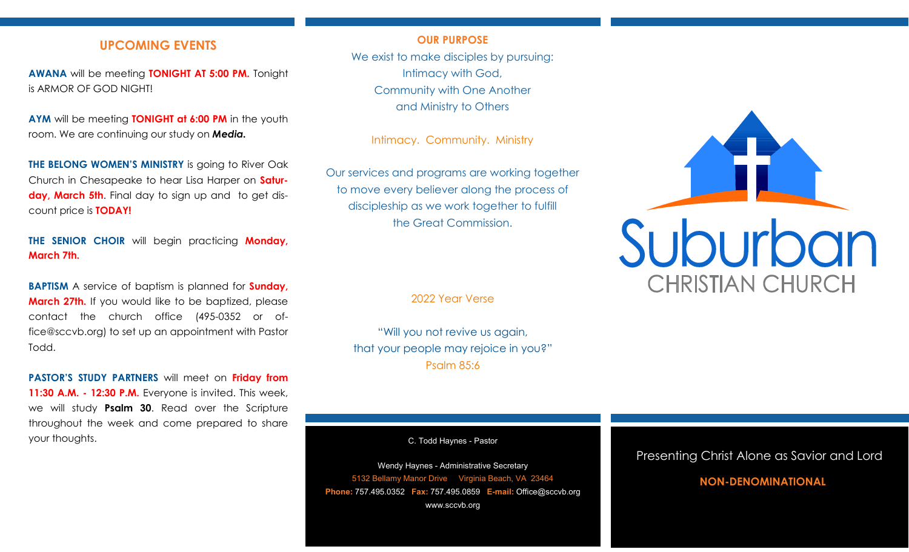# **UPCOMING EVENTS**

**AWANA** will be meeting **TONIGHT AT 5:00 PM.** Tonight is ARMOR OF GOD NIGHT!

**AYM** will be meeting **TONIGHT at 6:00 PM** in the youth room. We are continuing our study on *Media.*

**THE BELONG WOMEN'S MINISTRY** is going to River Oak Church in Chesapeake to hear Lisa Harper on **Saturday, March 5th**. Final day to sign up and to get discount price is **TODAY!** 

**THE SENIOR CHOIR** will begin practicing **Monday, March 7th.**

**BAPTISM** A service of baptism is planned for **Sunday, March 27th.** If you would like to be baptized, please contact the church office (495-0352 or office@sccvb.org) to set up an appointment with Pastor Todd.

**PASTOR'S STUDY PARTNERS** will meet on **Friday from 11:30 A.M. - 12:30 P.M.** Everyone is invited. This week, we will study **Psalm 30**. Read over the Scripture throughout the week and come prepared to share your thoughts.

### **OUR PURPOSE**

We exist to make disciples by pursuing: Intimacy with God, Community with One Another and Ministry to Others

Intimacy. Community. Ministry

Our services and programs are working together to move every believer along the process of discipleship as we work together to fulfill the Great Commission.

2022 Year Verse

"Will you not revive us again, that your people may rejoice in you?" Psalm 85:6

C. Todd Haynes - Pastor

Wendy Haynes - Administrative Secretary 5132 Bellamy Manor Drive Virginia Beach, VA 23464 **Phone:** 757.495.0352 **Fax:** 757.495.0859 **E-mail:** Office@sccvb.org www.sccvb.org



# Presenting Christ Alone as Savior and Lord

# **NON-DENOMINATIONAL**